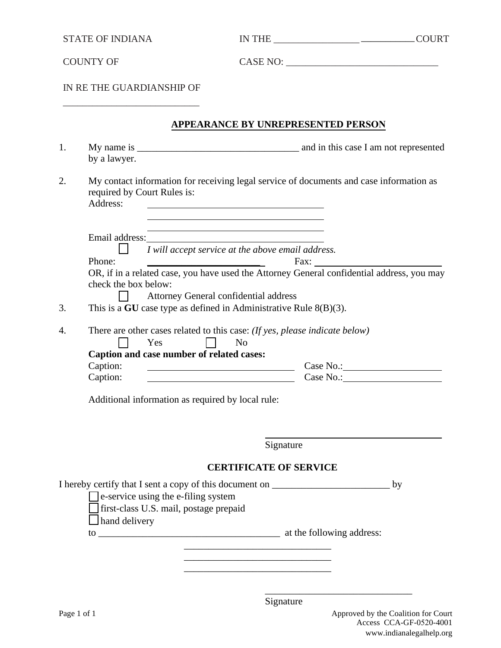STATE OF INDIANA

IN THE \_\_\_\_\_\_\_\_\_\_\_\_\_\_\_\_\_\_\_\_\_\_\_\_\_\_\_\_\_COURT \_\_\_\_\_\_\_\_\_\_\_

COUNTY OF

CASE NO: \_\_\_\_\_\_\_\_\_\_\_\_\_\_\_\_\_\_\_\_\_\_\_\_\_\_\_\_\_\_\_

IN RE THE GUARDIANSHIP OF \_\_\_\_\_\_\_\_\_\_\_\_\_\_\_\_\_\_\_\_\_\_\_\_\_\_\_\_

#### **APPEARANCE BY UNREPRESENTED PERSON**

| 1. |                                                                               |                                                                                               |                                                                                            |    |
|----|-------------------------------------------------------------------------------|-----------------------------------------------------------------------------------------------|--------------------------------------------------------------------------------------------|----|
|    | by a lawyer.                                                                  |                                                                                               |                                                                                            |    |
| 2. | required by Court Rules is:<br>Address:                                       |                                                                                               | My contact information for receiving legal service of documents and case information as    |    |
|    | Email address:                                                                |                                                                                               |                                                                                            |    |
|    |                                                                               | I will accept service at the above email address.                                             |                                                                                            |    |
|    | Phone:                                                                        |                                                                                               | Fax:                                                                                       |    |
|    | check the box below:                                                          |                                                                                               | OR, if in a related case, you have used the Attorney General confidential address, you may |    |
|    |                                                                               | Attorney General confidential address                                                         |                                                                                            |    |
| 3. |                                                                               | This is a GU case type as defined in Administrative Rule $8(B)(3)$ .                          |                                                                                            |    |
| 4. | Yes<br>Caption and case number of related cases:<br>Caption:<br>Caption:      | There are other cases related to this case: (If yes, please indicate below)<br>N <sub>o</sub> |                                                                                            |    |
|    |                                                                               | Additional information as required by local rule:                                             |                                                                                            |    |
|    |                                                                               |                                                                                               |                                                                                            |    |
|    |                                                                               |                                                                                               | Signature                                                                                  |    |
|    |                                                                               | <b>CERTIFICATE OF SERVICE</b>                                                                 |                                                                                            |    |
|    | e-service using the e-filing system<br>first-class U.S. mail, postage prepaid |                                                                                               | I hereby certify that I sent a copy of this document on _________________________          | by |
|    | $\Box$ hand delivery                                                          |                                                                                               |                                                                                            |    |
|    |                                                                               |                                                                                               |                                                                                            |    |

\_\_\_\_\_\_\_\_\_\_\_\_\_\_\_\_\_\_\_\_\_\_\_\_\_\_\_\_\_\_

\_\_\_\_\_\_\_\_\_\_\_\_\_\_\_\_\_\_\_\_\_\_\_\_\_\_\_\_\_\_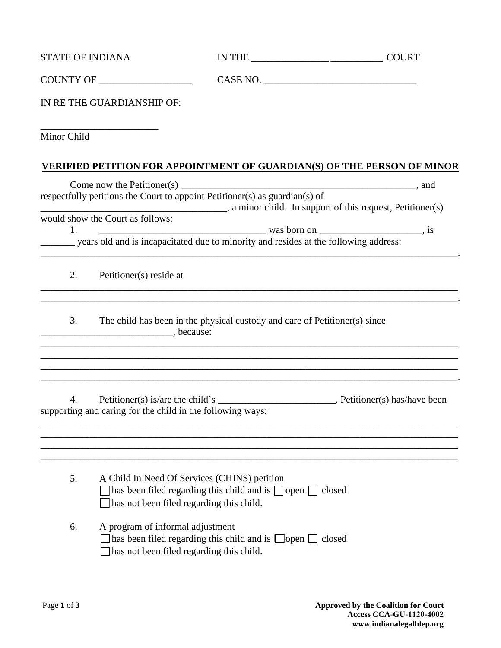| <b>STATE OF INDIANA</b> |                                                                              |                                                                                                                      |                                                                                                                                                                      |
|-------------------------|------------------------------------------------------------------------------|----------------------------------------------------------------------------------------------------------------------|----------------------------------------------------------------------------------------------------------------------------------------------------------------------|
|                         |                                                                              |                                                                                                                      |                                                                                                                                                                      |
|                         | IN RE THE GUARDIANSHIP OF:                                                   |                                                                                                                      |                                                                                                                                                                      |
| Minor Child             |                                                                              |                                                                                                                      |                                                                                                                                                                      |
|                         |                                                                              |                                                                                                                      | <b>VERIFIED PETITION FOR APPOINTMENT OF GUARDIAN(S) OF THE PERSON OF MINOR</b>                                                                                       |
|                         |                                                                              |                                                                                                                      |                                                                                                                                                                      |
|                         |                                                                              |                                                                                                                      | a minor child. In support of this request, Petitioner(s)                                                                                                             |
| 1.                      | would show the Court as follows:                                             | $\frac{1}{2}$ was born on $\frac{1}{2}$ , is                                                                         |                                                                                                                                                                      |
|                         |                                                                              | years old and is incapacitated due to minority and resides at the following address:                                 |                                                                                                                                                                      |
| 2.                      | Petitioner(s) reside at                                                      |                                                                                                                      |                                                                                                                                                                      |
| 3.                      | because:                                                                     | The child has been in the physical custody and care of Petitioner(s) since                                           |                                                                                                                                                                      |
| 4.                      | supporting and caring for the child in the following ways:                   |                                                                                                                      | ,我们也不会有什么。""我们的人,我们也不会有什么?""我们的人,我们也不会有什么?""我们的人,我们也不会有什么?""我们的人,我们也不会有什么?""我们的人<br>,我们也不能在这里的时候,我们也不能在这里的时候,我们也不能会在这里的时候,我们也不能会在这里的时候,我们也不能会在这里的时候,我们也不能会在这里的时候,我们也 |
| 5.                      | has not been filed regarding this child.                                     | A Child In Need Of Services (CHINS) petition<br>has been filed regarding this child and is $\Box$ open $\Box$ closed |                                                                                                                                                                      |
| 6.                      | A program of informal adjustment<br>has not been filed regarding this child. | has been filed regarding this child and is $\Box$ open $\Box$ closed                                                 |                                                                                                                                                                      |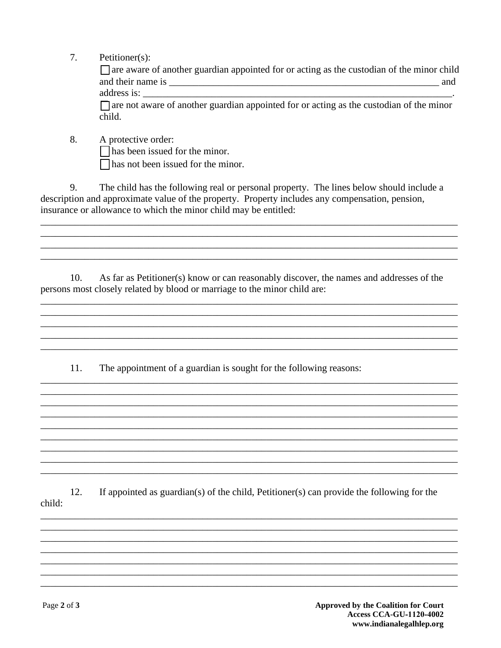$7.$  $Petitioner(s)$ :

> $\Box$  are aware of another guardian appointed for or acting as the custodian of the minor child

> > $\overline{\phantom{a}}$

address is:  $\Box$  are not aware of another guardian appointed for or acting as the custodian of the minor child.

8. A protective order:

 $\Box$  has been issued for the minor.

 $\Box$  has not been issued for the minor.

The child has the following real or personal property. The lines below should include a 9. description and approximate value of the property. Property includes any compensation, pension, insurance or allowance to which the minor child may be entitled:

10. As far as Petitioner(s) know or can reasonably discover, the names and addresses of the persons most closely related by blood or marriage to the minor child are:

11. The appointment of a guardian is sought for the following reasons:

If appointed as guardian(s) of the child, Petitioner(s) can provide the following for the 12. child: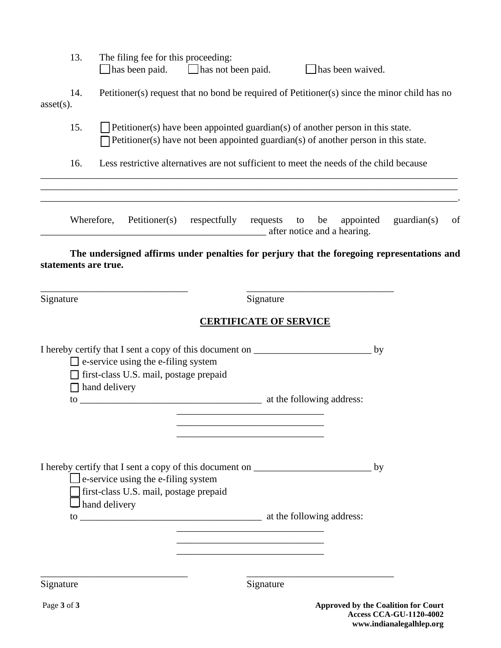|              | 13.                  |                      |                                                                                        | The filing fee for this proceeding:<br>$\Box$ has been paid. $\Box$ has not been paid.                                                                               |                               |    | has been waived. |    |                                     |    |
|--------------|----------------------|----------------------|----------------------------------------------------------------------------------------|----------------------------------------------------------------------------------------------------------------------------------------------------------------------|-------------------------------|----|------------------|----|-------------------------------------|----|
| $asset(s)$ . | 14.                  |                      |                                                                                        | Petitioner(s) request that no bond be required of Petitioner(s) since the minor child has no                                                                         |                               |    |                  |    |                                     |    |
|              | 15.                  |                      |                                                                                        | Petitioner(s) have been appointed guardian(s) of another person in this state.<br>Petitioner(s) have not been appointed guardian(s) of another person in this state. |                               |    |                  |    |                                     |    |
|              | 16.                  |                      |                                                                                        | Less restrictive alternatives are not sufficient to meet the needs of the child because                                                                              |                               |    |                  |    |                                     |    |
|              | Wherefore,           |                      | Petitioner(s)                                                                          | respectfully requests to<br>after notice and a hearing.                                                                                                              |                               | be | appointed        |    | guardian(s)                         | of |
|              | statements are true. |                      |                                                                                        | The undersigned affirms under penalties for perjury that the foregoing representations and                                                                           |                               |    |                  |    |                                     |    |
| Signature    |                      |                      |                                                                                        |                                                                                                                                                                      | Signature                     |    |                  |    |                                     |    |
|              |                      |                      |                                                                                        |                                                                                                                                                                      | <b>CERTIFICATE OF SERVICE</b> |    |                  |    |                                     |    |
|              |                      |                      |                                                                                        | I hereby certify that I sent a copy of this document on ________________________                                                                                     |                               |    |                  | by |                                     |    |
|              |                      |                      | $\Box$ e-service using the e-filing system<br>□ first-class U.S. mail, postage prepaid |                                                                                                                                                                      |                               |    |                  |    |                                     |    |
|              | $\Box$ hand delivery |                      |                                                                                        |                                                                                                                                                                      |                               |    |                  |    |                                     |    |
|              |                      |                      |                                                                                        |                                                                                                                                                                      |                               |    |                  |    |                                     |    |
|              |                      |                      | $\Box$ e-service using the e-filing system<br>first-class U.S. mail, postage prepaid   | I hereby certify that I sent a copy of this document on _________________________                                                                                    |                               |    |                  | by |                                     |    |
|              |                      | $\Box$ hand delivery |                                                                                        |                                                                                                                                                                      |                               |    |                  |    |                                     |    |
|              |                      |                      |                                                                                        |                                                                                                                                                                      |                               |    |                  |    |                                     |    |
|              |                      |                      |                                                                                        |                                                                                                                                                                      |                               |    |                  |    |                                     |    |
| Signature    |                      |                      |                                                                                        |                                                                                                                                                                      | Signature                     |    |                  |    |                                     |    |
| Page 3 of 3  |                      |                      |                                                                                        |                                                                                                                                                                      |                               |    |                  |    | Approved by the Coalition for Court |    |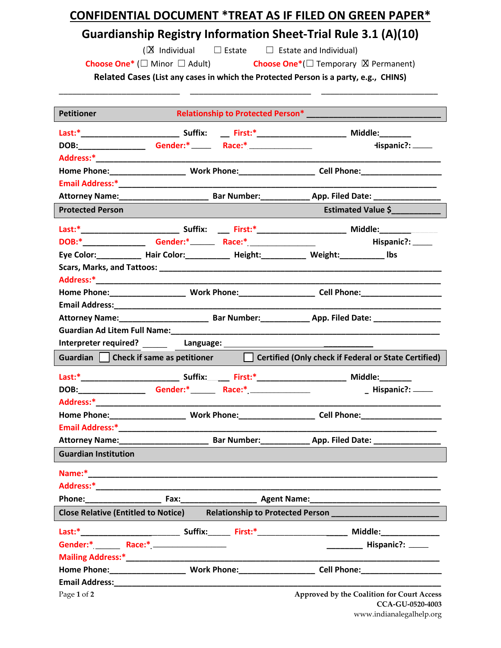# **CONFIDENTIAL DOCUMENT \*TREAT AS IF FILED ON GREEN PAPER\***

# **Guardianship Registry Information Sheet-Trial Rule 3.1 (A)(10)**

(X Individual

□ Estate □ Estate and Individual)

**Choose One\*** (□ Minor □ Adult) **Choose One\*** (□ Temporary ⊠ Permanent)

**Related Cases (List any cases in which the Protected Person is a party, e.g., CHINS)** \_\_\_\_\_\_\_\_\_\_\_\_\_\_\_\_\_\_\_\_\_\_\_\_\_\_\_ \_\_\_\_\_\_\_\_\_\_\_\_\_\_\_\_\_\_\_\_\_\_\_\_\_\_\_ \_\_\_\_\_\_\_\_\_\_\_\_\_\_\_\_\_\_\_\_\_\_\_\_\_\_

| <b>Petitioner</b>                                                                                                                                                                                                              |                                                                                                                                                                                                                               |         | Relationship to Protected Person* Nelationship to Protected Person*                      |
|--------------------------------------------------------------------------------------------------------------------------------------------------------------------------------------------------------------------------------|-------------------------------------------------------------------------------------------------------------------------------------------------------------------------------------------------------------------------------|---------|------------------------------------------------------------------------------------------|
|                                                                                                                                                                                                                                |                                                                                                                                                                                                                               |         |                                                                                          |
| DOB:_______________                                                                                                                                                                                                            | Gender:* Race:* Race: * Race: * Race: * Race: * Race: * Race: * Race: * Race: * Race: * Race: * Race: * Race: * Race: * Race: * Race: * Race: * Race: * Race: * Race: * Race: * Race: * Race: * Race: * Race: * Race: * Race: |         | Hispanic?: _____                                                                         |
|                                                                                                                                                                                                                                |                                                                                                                                                                                                                               |         |                                                                                          |
|                                                                                                                                                                                                                                |                                                                                                                                                                                                                               |         |                                                                                          |
|                                                                                                                                                                                                                                |                                                                                                                                                                                                                               |         |                                                                                          |
|                                                                                                                                                                                                                                |                                                                                                                                                                                                                               |         |                                                                                          |
| <b>Protected Person</b>                                                                                                                                                                                                        |                                                                                                                                                                                                                               |         | Estimated Value \$                                                                       |
|                                                                                                                                                                                                                                |                                                                                                                                                                                                                               |         |                                                                                          |
|                                                                                                                                                                                                                                |                                                                                                                                                                                                                               |         | Hispanic?: _____                                                                         |
|                                                                                                                                                                                                                                |                                                                                                                                                                                                                               |         | Eye Color: ___________ Hair Color: ___________ Height: __________ Weight: __________ Ibs |
|                                                                                                                                                                                                                                |                                                                                                                                                                                                                               |         |                                                                                          |
|                                                                                                                                                                                                                                |                                                                                                                                                                                                                               |         |                                                                                          |
|                                                                                                                                                                                                                                |                                                                                                                                                                                                                               |         |                                                                                          |
|                                                                                                                                                                                                                                |                                                                                                                                                                                                                               |         |                                                                                          |
|                                                                                                                                                                                                                                |                                                                                                                                                                                                                               |         |                                                                                          |
|                                                                                                                                                                                                                                |                                                                                                                                                                                                                               |         |                                                                                          |
|                                                                                                                                                                                                                                |                                                                                                                                                                                                                               |         |                                                                                          |
| Guardian Check if same as petitioner                                                                                                                                                                                           |                                                                                                                                                                                                                               |         | Certified (Only check if Federal or State Certified)                                     |
|                                                                                                                                                                                                                                |                                                                                                                                                                                                                               |         |                                                                                          |
|                                                                                                                                                                                                                                |                                                                                                                                                                                                                               |         | Hispanic?: _____                                                                         |
|                                                                                                                                                                                                                                |                                                                                                                                                                                                                               |         |                                                                                          |
|                                                                                                                                                                                                                                |                                                                                                                                                                                                                               |         |                                                                                          |
|                                                                                                                                                                                                                                |                                                                                                                                                                                                                               |         |                                                                                          |
|                                                                                                                                                                                                                                |                                                                                                                                                                                                                               |         |                                                                                          |
| <b>Guardian Institution</b>                                                                                                                                                                                                    |                                                                                                                                                                                                                               |         |                                                                                          |
| Name:*                                                                                                                                                                                                                         |                                                                                                                                                                                                                               |         |                                                                                          |
|                                                                                                                                                                                                                                |                                                                                                                                                                                                                               |         |                                                                                          |
| Phone: New York Phone State State State State State State State State State State State State State State State State State State State State State State State State State State State State State State State State State St |                                                                                                                                                                                                                               |         |                                                                                          |
| <b>Close Relative (Entitled to Notice)</b>                                                                                                                                                                                     |                                                                                                                                                                                                                               |         |                                                                                          |
|                                                                                                                                                                                                                                | Suffix:                                                                                                                                                                                                                       | First:* | Middle:______________                                                                    |
| Gender:* _______ Race:* _________________                                                                                                                                                                                      |                                                                                                                                                                                                                               |         | Hispanic?: ____                                                                          |
|                                                                                                                                                                                                                                |                                                                                                                                                                                                                               |         |                                                                                          |
|                                                                                                                                                                                                                                |                                                                                                                                                                                                                               |         | Cell Phone: __________________                                                           |
|                                                                                                                                                                                                                                |                                                                                                                                                                                                                               |         |                                                                                          |
| Page 1 of 2                                                                                                                                                                                                                    |                                                                                                                                                                                                                               |         | Approved by the Coalition for Court Access<br><b>CCA-GU-0520-4003</b>                    |

www.indianalegalhelp.org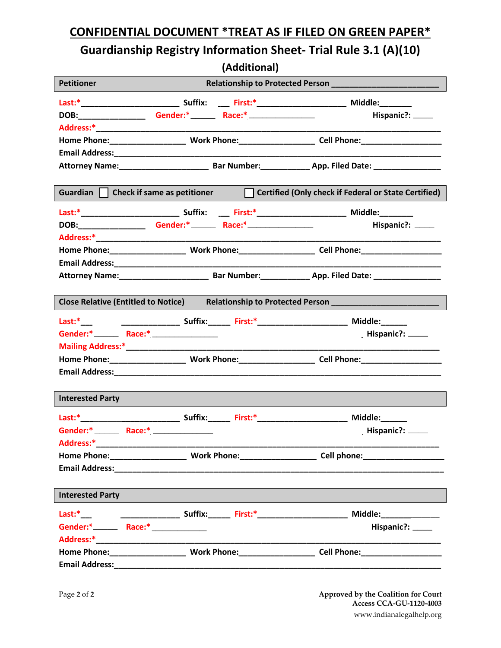## **CONFIDENTIAL DOCUMENT \*TREAT AS IF FILED ON GREEN PAPER\***

# **Guardianship Registry Information Sheet- Trial Rule 3.1 (A)(10)**

**(Additional)**

| <b>Petitioner</b>                                                                            |                                                     |  |                                                                                                     |  |  |  |  |  |  |
|----------------------------------------------------------------------------------------------|-----------------------------------------------------|--|-----------------------------------------------------------------------------------------------------|--|--|--|--|--|--|
|                                                                                              |                                                     |  |                                                                                                     |  |  |  |  |  |  |
|                                                                                              |                                                     |  |                                                                                                     |  |  |  |  |  |  |
|                                                                                              |                                                     |  | Hispanic?: _____                                                                                    |  |  |  |  |  |  |
|                                                                                              |                                                     |  |                                                                                                     |  |  |  |  |  |  |
|                                                                                              |                                                     |  |                                                                                                     |  |  |  |  |  |  |
|                                                                                              |                                                     |  |                                                                                                     |  |  |  |  |  |  |
|                                                                                              |                                                     |  |                                                                                                     |  |  |  |  |  |  |
|                                                                                              |                                                     |  |                                                                                                     |  |  |  |  |  |  |
| Certified (Only check if Federal or State Certified)<br>Guardian Check if same as petitioner |                                                     |  |                                                                                                     |  |  |  |  |  |  |
|                                                                                              |                                                     |  |                                                                                                     |  |  |  |  |  |  |
|                                                                                              |                                                     |  | Hispanic?: _____                                                                                    |  |  |  |  |  |  |
|                                                                                              |                                                     |  |                                                                                                     |  |  |  |  |  |  |
|                                                                                              |                                                     |  |                                                                                                     |  |  |  |  |  |  |
|                                                                                              |                                                     |  |                                                                                                     |  |  |  |  |  |  |
|                                                                                              |                                                     |  |                                                                                                     |  |  |  |  |  |  |
|                                                                                              |                                                     |  |                                                                                                     |  |  |  |  |  |  |
|                                                                                              |                                                     |  | Close Relative (Entitled to Notice) Relationship to Protected Person ______________________________ |  |  |  |  |  |  |
|                                                                                              |                                                     |  |                                                                                                     |  |  |  |  |  |  |
|                                                                                              |                                                     |  | Hispanic?: _____                                                                                    |  |  |  |  |  |  |
|                                                                                              |                                                     |  |                                                                                                     |  |  |  |  |  |  |
|                                                                                              |                                                     |  |                                                                                                     |  |  |  |  |  |  |
|                                                                                              |                                                     |  |                                                                                                     |  |  |  |  |  |  |
|                                                                                              |                                                     |  |                                                                                                     |  |  |  |  |  |  |
| <b>Interested Party</b>                                                                      |                                                     |  |                                                                                                     |  |  |  |  |  |  |
|                                                                                              |                                                     |  |                                                                                                     |  |  |  |  |  |  |
|                                                                                              | Gender:* _______ Race:* _______________             |  | Hispanic?: _____                                                                                    |  |  |  |  |  |  |
| Address:*                                                                                    |                                                     |  |                                                                                                     |  |  |  |  |  |  |
|                                                                                              |                                                     |  |                                                                                                     |  |  |  |  |  |  |
|                                                                                              |                                                     |  |                                                                                                     |  |  |  |  |  |  |
|                                                                                              |                                                     |  |                                                                                                     |  |  |  |  |  |  |
| <b>Interested Party</b>                                                                      |                                                     |  |                                                                                                     |  |  |  |  |  |  |
|                                                                                              |                                                     |  |                                                                                                     |  |  |  |  |  |  |
|                                                                                              | Gender: <sup>*</sup> ________ Race:* ______________ |  | Hispanic?: _____                                                                                    |  |  |  |  |  |  |
|                                                                                              |                                                     |  |                                                                                                     |  |  |  |  |  |  |
|                                                                                              |                                                     |  |                                                                                                     |  |  |  |  |  |  |
|                                                                                              |                                                     |  |                                                                                                     |  |  |  |  |  |  |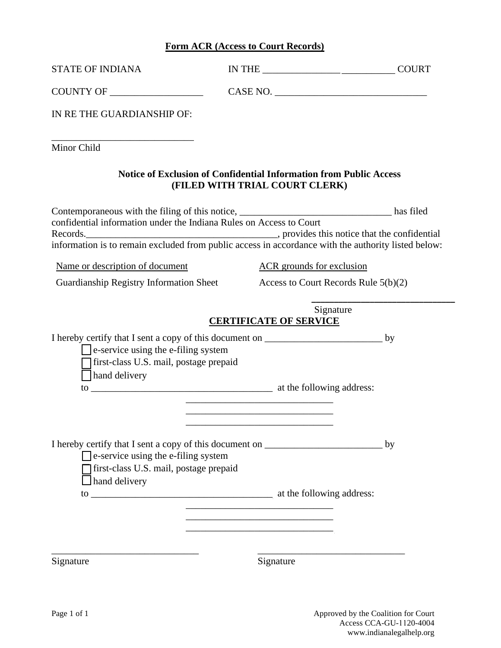#### **Form ACR (Access to Court Records)**

| <b>STATE OF INDIANA</b>                                                                                                                                                                                                                                                                                                                              |                                                                                                                            |           |
|------------------------------------------------------------------------------------------------------------------------------------------------------------------------------------------------------------------------------------------------------------------------------------------------------------------------------------------------------|----------------------------------------------------------------------------------------------------------------------------|-----------|
|                                                                                                                                                                                                                                                                                                                                                      |                                                                                                                            |           |
| IN RE THE GUARDIANSHIP OF:                                                                                                                                                                                                                                                                                                                           |                                                                                                                            |           |
| Minor Child                                                                                                                                                                                                                                                                                                                                          |                                                                                                                            |           |
|                                                                                                                                                                                                                                                                                                                                                      | <b>Notice of Exclusion of Confidential Information from Public Access</b><br>(FILED WITH TRIAL COURT CLERK)                |           |
| Contemporaneous with the filing of this notice, _________________________________ has filed<br>confidential information under the Indiana Rules on Access to Court<br>Records.<br><u>Records</u> , provides this notice that the confidential<br>information is to remain excluded from public access in accordance with the authority listed below: |                                                                                                                            |           |
| Name or description of document                                                                                                                                                                                                                                                                                                                      | <b>ACR</b> grounds for exclusion                                                                                           |           |
| Guardianship Registry Information Sheet Access to Court Records Rule 5(b)(2)                                                                                                                                                                                                                                                                         |                                                                                                                            |           |
| $\Box$ e-service using the e-filing system<br>first-class U.S. mail, postage prepaid<br>hand delivery                                                                                                                                                                                                                                                | <b>CERTIFICATE OF SERVICE</b><br>the control of the control of the control of the control of the control of the control of | Signature |
| I hereby certify that I sent a copy of this document on _________________________<br>e-service using the e-filing system<br>first-class U.S. mail, postage prepaid<br>hand delivery                                                                                                                                                                  |                                                                                                                            | by        |
| Signature                                                                                                                                                                                                                                                                                                                                            | Signature                                                                                                                  |           |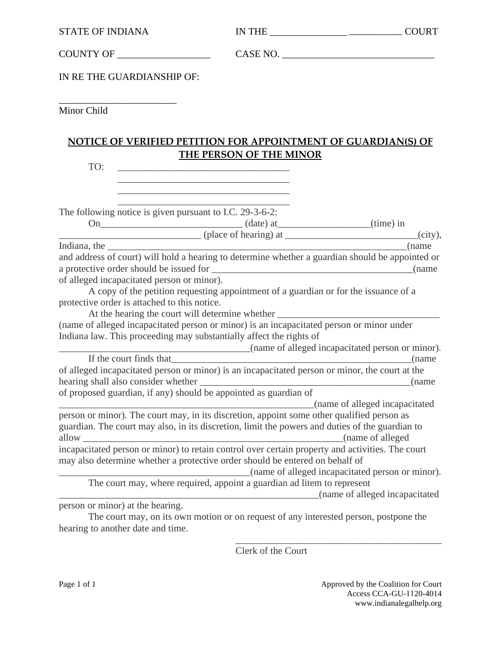COUNTY OF \_\_\_\_\_\_\_\_\_\_\_\_\_\_\_\_\_\_\_

CASE NO. \_\_\_\_\_\_\_\_\_\_\_\_\_\_\_\_\_\_\_\_\_\_\_\_\_\_\_\_\_\_\_

IN RE THE GUARDIANSHIP OF:

\_\_\_\_\_\_\_\_\_\_\_\_\_\_\_\_\_\_\_\_\_\_\_\_

Minor Child

### **NOTICE OF VERIFIED PETITION FOR APPOINTMENT OF GUARDIAN(S) OF THE PERSON OF THE MINOR**

TO:

The following notice is given pursuant to I.C. 29-3-6-2:

On (date) at (ime) in

\_\_\_\_\_\_\_\_\_\_\_\_\_\_\_\_\_\_\_\_\_\_\_\_\_\_\_\_\_\_\_\_\_\_\_ \_\_\_\_\_\_\_\_\_\_\_\_\_\_\_\_\_\_\_\_\_\_\_\_\_\_\_\_\_\_\_\_\_\_\_ \_\_\_\_\_\_\_\_\_\_\_\_\_\_\_\_\_\_\_\_\_\_\_\_\_\_\_\_\_\_\_\_\_\_\_

 $\overline{\text{ (place of hearing) at}}$  (place of hearing)  $\overline{\text{at}}$  (city), Indiana, the and address of court) will hold a hearing to determine whether a guardian should be appointed or a protective order should be issued for \_\_\_\_\_\_\_\_\_\_\_\_\_\_\_\_\_\_\_\_\_\_\_\_\_\_\_\_\_\_\_\_\_\_\_\_\_\_\_\_\_(name of alleged incapacitated person or minor).

A copy of the petition requesting appointment of a guardian or for the issuance of a protective order is attached to this notice.

At the hearing the court will determine whether \_\_\_\_\_\_\_\_\_\_\_\_\_\_\_\_\_\_\_\_\_\_\_\_\_\_\_\_\_\_\_\_\_ (name of alleged incapacitated person or minor) is an incapacitated person or minor under Indiana law. This proceeding may substantially affect the rights of

\_\_\_\_\_\_\_\_\_\_\_\_\_\_\_\_\_\_\_\_\_\_\_\_\_\_\_\_\_\_\_\_\_\_\_\_\_\_\_(name of alleged incapacitated person or minor). If the court finds that  $\Box$  (name of alleged incapacitated person or minor) is an incapacitated person or minor, the court at the hearing shall also consider whether \_\_\_\_\_\_\_\_\_\_\_\_\_\_\_\_\_\_\_\_\_\_\_\_\_\_\_\_\_\_\_\_\_\_\_\_\_\_\_\_\_\_\_(name of proposed guardian, if any) should be appointed as guardian of \_\_\_\_\_\_\_\_\_\_\_\_\_\_\_\_\_\_\_\_\_\_\_\_\_\_\_\_\_\_\_\_\_\_\_\_\_\_\_\_\_\_\_\_\_\_\_\_\_\_\_\_(name of alleged incapacitated person or minor). The court may, in its discretion, appoint some other qualified person as guardian. The court may also, in its discretion, limit the powers and duties of the guardian to

allow \_\_\_\_\_\_\_\_\_\_\_\_\_\_\_\_\_\_\_\_\_\_\_\_\_\_\_\_\_\_\_\_\_\_\_\_\_\_\_\_\_\_\_\_\_\_\_\_\_\_\_\_\_(name of alleged incapacitated person or minor) to retain control over certain property and activities. The court may also determine whether a protective order should be entered on behalf of

\_\_\_\_\_\_\_\_\_\_\_\_\_\_\_\_\_\_\_\_\_\_\_\_\_\_\_\_\_\_\_\_\_\_\_\_\_\_\_(name of alleged incapacitated person or minor).

The court may, where required, appoint a guardian ad litem to represent

\_\_\_\_\_\_\_\_\_\_\_\_\_\_\_\_\_\_\_\_\_\_\_\_\_\_\_\_\_\_\_\_\_\_\_\_\_\_\_\_\_\_\_\_\_\_\_\_\_\_\_\_\_(name of alleged incapacitated

person or minor) at the hearing.

The court may, on its own motion or on request of any interested person, postpone the hearing to another date and time.

Clerk of the Court

\_\_\_\_\_\_\_\_\_\_\_\_\_\_\_\_\_\_\_\_\_\_\_\_\_\_\_\_\_\_\_\_\_\_\_\_\_\_\_\_\_\_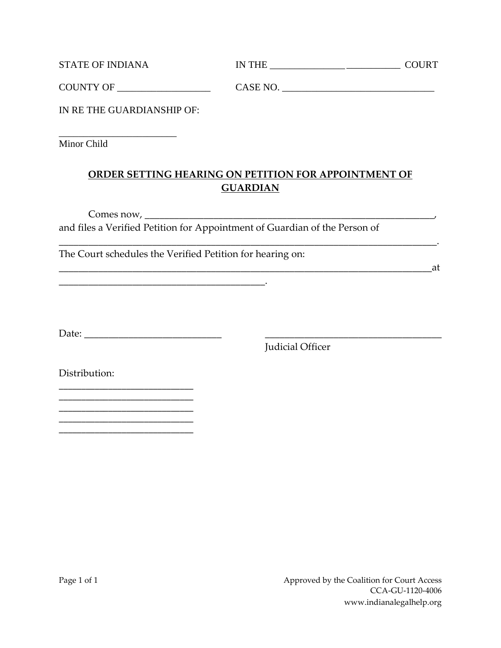| <b>STATE OF INDIANA</b> | IN THE   | <b>COURT</b> |
|-------------------------|----------|--------------|
| <b>COUNTY OF</b>        | CASE NO. |              |

IN RE THE GUARDIANSHIP OF:

\_\_\_\_\_\_\_\_\_\_\_\_\_\_\_\_\_\_\_\_\_\_\_\_ Minor Child

### **ORDER SETTING HEARING ON PETITION FOR APPOINTMENT OF GUARDIAN**

\_\_\_\_\_\_\_\_\_\_\_\_\_\_\_\_\_\_\_\_\_\_\_\_\_\_\_\_\_\_\_\_\_\_\_\_\_\_\_\_\_\_\_\_\_\_\_\_\_\_\_\_\_\_\_\_\_\_\_\_\_\_\_\_\_\_\_\_\_\_\_\_\_\_\_\_\_.

Comes now, \_\_\_\_\_\_\_\_\_\_\_\_\_\_\_\_\_\_\_\_\_\_\_\_\_\_\_\_\_\_\_\_\_\_\_\_\_\_\_\_\_\_\_\_\_\_\_\_\_\_\_\_\_\_\_\_\_\_\_, and files a Verified Petition for Appointment of Guardian of the Person of

The Court schedules the Verified Petition for hearing on:

\_\_\_\_\_\_\_\_\_\_\_\_\_\_\_\_\_\_\_\_\_\_\_\_\_\_\_\_\_\_\_\_\_\_\_\_\_\_\_\_\_\_.

\_\_\_\_\_\_\_\_\_\_\_\_\_\_\_\_\_\_\_\_\_\_\_\_\_\_\_\_\_\_\_\_\_\_\_\_\_\_\_\_\_\_\_\_\_\_\_\_\_\_\_\_\_\_\_\_\_\_\_\_\_\_\_\_\_\_\_\_\_\_\_\_\_\_\_\_at

Date: \_\_\_\_\_\_\_\_\_\_\_\_\_\_\_\_\_\_\_\_\_\_\_\_\_\_\_\_ \_\_\_\_\_\_\_\_\_\_\_\_\_\_\_\_\_\_\_\_\_\_\_\_\_\_\_\_\_\_\_\_\_\_\_\_

Judicial Officer

Distribution:

\_\_\_\_\_\_\_\_\_\_\_\_\_\_\_\_\_\_\_\_\_\_\_\_\_\_\_\_\_\_ \_\_\_\_\_\_\_\_\_\_\_\_\_\_\_\_\_\_\_\_\_\_\_\_\_\_\_\_\_\_

\_\_\_\_\_\_\_\_\_\_\_\_\_\_\_\_\_\_\_\_\_\_\_\_\_\_\_\_\_\_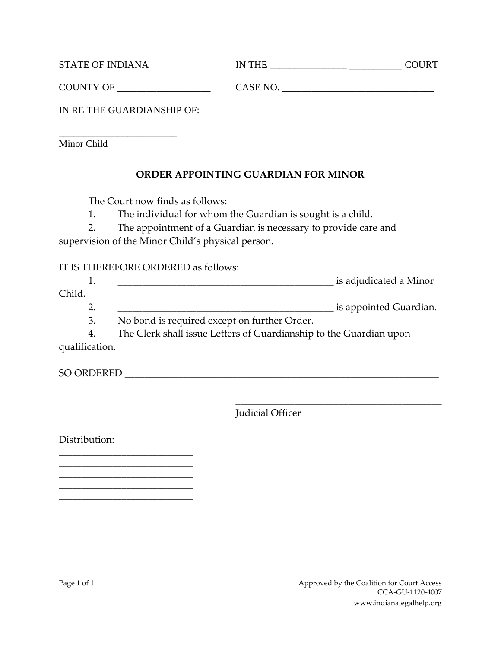| <b>STATE OF INDIANA</b> | <b>IN THE</b> | <b>COURT</b> |
|-------------------------|---------------|--------------|
| <b>COUNTY OF</b>        | CASE NO.      |              |

IN RE THE GUARDIANSHIP OF:

\_\_\_\_\_\_\_\_\_\_\_\_\_\_\_\_\_\_\_\_\_\_\_\_ Minor Child

### **ORDER APPOINTING GUARDIAN FOR MINOR**

The Court now finds as follows:

1. The individual for whom the Guardian is sought is a child.

2. The appointment of a Guardian is necessary to provide care and

supervision of the Minor Child's physical person.

#### IT IS THEREFORE ORDERED as follows:

| . .   | is adjudicated a Minor |
|-------|------------------------|
| Child |                        |

2.  $\qquad \qquad$  is appointed Guardian.

3. No bond is required except on further Order.

4. The Clerk shall issue Letters of Guardianship to the Guardian upon qualification.

SO ORDERED \_\_\_\_\_\_\_\_\_\_\_\_\_\_\_\_\_\_\_\_\_\_\_\_\_\_\_\_\_\_\_\_\_\_\_\_\_\_\_\_\_\_\_\_\_\_\_\_\_\_\_\_\_\_\_\_\_\_\_\_\_\_\_\_

Judicial Officer

Distribution:

\_\_\_\_\_\_\_\_\_\_\_\_\_\_\_\_\_\_\_\_\_\_\_\_\_\_\_\_\_\_

\_\_\_\_\_\_\_\_\_\_\_\_\_\_\_\_\_\_\_\_\_\_\_\_\_\_\_\_\_\_ \_\_\_\_\_\_\_\_\_\_\_\_\_\_\_\_\_\_\_\_\_\_\_\_\_\_\_\_\_\_ \_\_\_\_\_\_\_\_\_\_\_\_\_\_\_\_\_\_\_\_\_\_\_\_\_\_\_\_\_\_ \_\_\_\_\_\_\_\_\_\_\_\_\_\_\_\_\_\_\_\_\_\_\_\_\_\_\_\_\_\_\_\_\_\_\_\_\_\_\_\_\_\_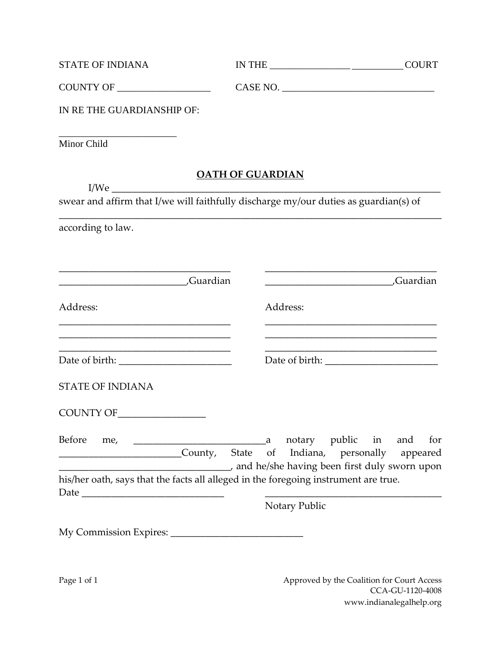| <b>STATE OF INDIANA</b>                                                                                                                    |                         |               |                                                                                           | <b>COURT</b> |
|--------------------------------------------------------------------------------------------------------------------------------------------|-------------------------|---------------|-------------------------------------------------------------------------------------------|--------------|
| COUNTY OF                                                                                                                                  |                         |               |                                                                                           |              |
| IN RE THE GUARDIANSHIP OF:                                                                                                                 |                         |               |                                                                                           |              |
| Minor Child                                                                                                                                |                         |               |                                                                                           |              |
|                                                                                                                                            | <b>OATH OF GUARDIAN</b> |               |                                                                                           |              |
| I/We<br>swear and affirm that I/we will faithfully discharge my/our duties as guardian(s) of                                               |                         |               |                                                                                           |              |
| according to law.                                                                                                                          |                         |               |                                                                                           |              |
| Guardian                                                                                                                                   |                         |               | Guardian                                                                                  |              |
| Address:<br><u> 1989 - Johann Barbara, margaret eta idazlearia (h. 1989).</u>                                                              |                         | Address:      | the control of the control of the control of the control of the control of the control of |              |
| <u> 2008 - Jan Barnett, amerikansk politik (d. 1982)</u><br><u> 1989 - Johann John Harry, mars eta bainar eta baina eta hiri zuen zen.</u> |                         |               |                                                                                           |              |
| <b>STATE OF INDIANA</b>                                                                                                                    |                         |               |                                                                                           |              |
|                                                                                                                                            |                         |               |                                                                                           |              |
| Before<br>me,<br>County, State<br>and he/she having been first duly sworn upon                                                             | a<br>of                 |               | notary public in and<br>Indiana, personally appeared                                      | for          |
| his/her oath, says that the facts all alleged in the foregoing instrument are true.                                                        |                         |               |                                                                                           |              |
|                                                                                                                                            |                         | Notary Public |                                                                                           |              |
|                                                                                                                                            |                         |               |                                                                                           |              |

Page 1 of 1 Approved by the Coalition for Court Access CCA-GU-1120-4008 www.indianalegalhelp.org